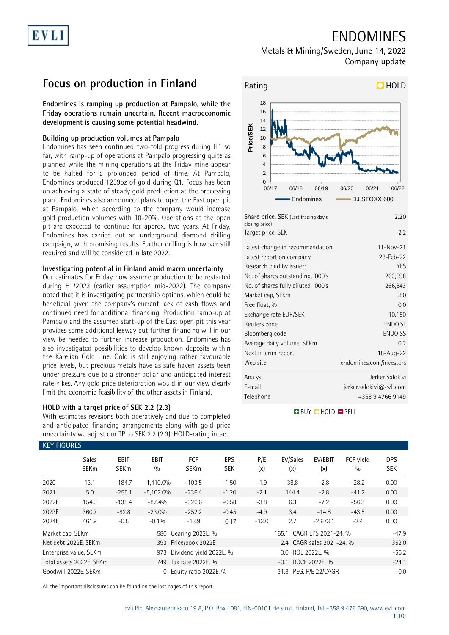## ENDOMINES

Metals & Mining/Sweden, June 14, 2022 Company update

## **Focus on production in Finland**

**Endomines is ramping up production at Pampalo, while the Friday operations remain uncertain. Recent macroeconomic development is causing some potential headwind.**

### **Building up production volumes at Pampalo**

Endomines has seen continued two-fold progress during H1 so far, with ramp-up of operations at Pampalo progressing quite as planned while the mining operations at the Friday mine appear to be halted for a prolonged period of time. At Pampalo, Endomines produced 1259oz of gold during Q1. Focus has been on achieving a state of steady gold production at the processing plant. Endomines also announced plans to open the East open pit at Pampalo, which according to the company would increase gold production volumes with 10-20%. Operations at the open pit are expected to continue for approx. two years. At Friday, Endomines has carried out an underground diamond drilling campaign, with promising results. Further drilling is however still required and will be considered in late 2022.

### **Investigating potential in Finland amid macro uncertainty**

Our estimates for Friday now assume production to be restarted during H1/2023 (earlier assumption mid-2022). The company noted that it is investigating partnership options, which could be beneficial given the company's current lack of cash flows and continued need for additional financing. Production ramp-up at Pampalo and the assumed start-up of the East open pit this year provides some additional leeway but further financing will in our view be needed to further increase production. Endomines has also investigated possibilities to develop known deposits within the Karelian Gold Line. Gold is still enjoying rather favourable price levels, but precious metals have as safe haven assets been under pressure due to a stronger dollar and anticipated interest rate hikes. Any gold price deterioration would in our view clearly limit the economic feasibility of the other assets in Finland.

### **HOLD with a target price of SEK 2.2 (2.3)**

With estimates revisions both operatively and due to completed and anticipated financing arrangements along with gold price uncertainty we adjust our TP to SEK 2.2 (2.3), HOLD-rating intact.



| Share price, SEK (Last trading day's<br>closing price)<br>Target price, SEK | 2.20<br>2.2              |
|-----------------------------------------------------------------------------|--------------------------|
| Latest change in recommendation                                             | $11 - Nov-21$            |
| Latest report on company                                                    | 28-Feb-22                |
| Research paid by issuer:                                                    | YES                      |
| No. of shares outstanding, '000's                                           | 263,698                  |
| No. of shares fully diluted, '000's                                         | 266,843                  |
| Market cap, SEKm                                                            | 580                      |
| Free float, %                                                               | 0.0                      |
| Exchange rate EUR/SEK                                                       | 10.150                   |
| Reuters code                                                                | ENDO.ST                  |
| Bloomberg code                                                              | <b>ENDO SS</b>           |
| Average daily volume, SEKm                                                  | 0.2                      |
| Next interim report                                                         | 18-Aug-22                |
| Web site                                                                    | endomines.com/investors  |
| Analyst                                                                     | Jerker Salokivi          |
| E-mail                                                                      | jerker.salokivi@evli.com |
| Telephone                                                                   | +358 9 4766 9149         |
|                                                                             |                          |

### **BUY CHOLD ESELL**

| <b>KEY FIGURES</b> |                             |                            |                    |                           |            |                       |                           |                |                  |                          |
|--------------------|-----------------------------|----------------------------|--------------------|---------------------------|------------|-----------------------|---------------------------|----------------|------------------|--------------------------|
|                    | <b>Sales</b><br><b>SEKm</b> | <b>EBIT</b><br><b>SEKm</b> | <b>EBIT</b><br>0/0 | <b>FCF</b><br><b>SEKm</b> | EPS<br>SEK | P/E<br>(x)            | EV/Sales<br>(x)           | EV/EBIT<br>(x) | FCF yield<br>0/0 | <b>DPS</b><br><b>SEK</b> |
| 2020               | 13.1                        | $-184.7$                   | $-1,410.0%$        | $-103.5$                  | $-1.50$    | $-1.9$                | 38.8                      | $-2.8$         | $-28.2$          | 0.00                     |
| 2021               | 5.0                         | $-255.1$                   | $-5,102.0%$        | $-236.4$                  | $-1.20$    | $-2.1$                | 144.4                     | $-2.8$         | $-41.2$          | 0.00                     |
| 2022E              | 154.9                       | $-135.4$                   | $-87.4%$           | $-326.6$                  | $-0.58$    | $-3.8$                | 6.3                       | $-7.2$         | $-56.3$          | 0.00                     |
| 2023E              | 360.7                       | $-82.8$                    | $-23.0%$           | $-252.2$                  | $-0.45$    | $-4.9$                | 3.4                       | $-14.8$        | $-43.5$          | 0.00                     |
| 2024E              | 461.9                       | $-0.5$                     | $-0.1%$            | $-13.9$                   | $-0.17$    | $-13.0$               | 2.7                       | $-2,673.1$     | $-2.4$           | 0.00                     |
| Market cap, SEKm   |                             |                            | 580                | Gearing 2022E, %          |            |                       | 165.1 CAGR EPS 2021-24, % | $-47.9$        |                  |                          |
|                    | Net debt 2022E, SEKm        |                            |                    | 393 Price/book 2022E      |            |                       | 2.4 CAGR sales 2021-24, % |                |                  | 352.0                    |
|                    | Enterprise value, SEKm      |                            | 973                | Dividend yield 2022E, %   |            | 0.0 ROE 2022E. %      |                           |                |                  | $-56.2$                  |
|                    | Total assets 2022E, SEKm    |                            |                    | 749 Tax rate 2022E, %     |            |                       | $-0.1$                    | ROCE 2022E, %  |                  | $-24.1$                  |
|                    | Goodwill 2022E. SEKm        |                            | $\Omega$           | Equity ratio 2022E, %     |            | 31.8 PEG. P/E 22/CAGR |                           |                |                  | 0.0                      |

All the important disclosures can be found on the last pages of this report.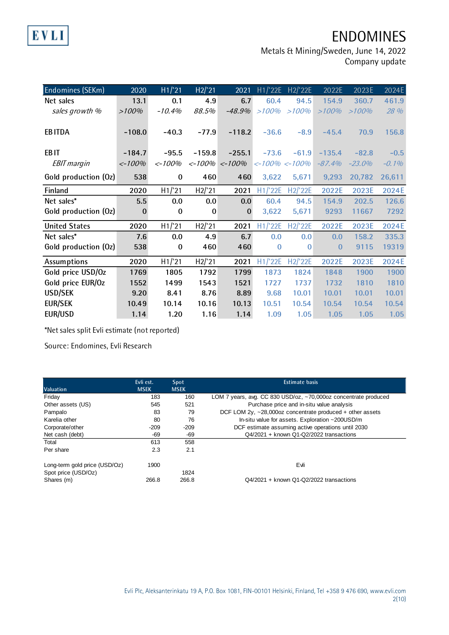# ENDOMINES

Metals & Mining/Sweden, June 14, 2022

Company update

| Endomines (SEKm)     | 2020      | H1/21     | H2/21    | 2021                                            | H1/22E                  | H2/22E   | 2022E    | 2023E     | 2024E    |
|----------------------|-----------|-----------|----------|-------------------------------------------------|-------------------------|----------|----------|-----------|----------|
| Net sales            | 13.1      | 0.1       | 4.9      | 6.7                                             | 60.4                    | 94.5     | 154.9    | 360.7     | 461.9    |
| sales growth %       | >100%     | $-10.4%$  | 88.5%    | $-48.9%$                                        | >100%                   | >100%    | $>100\%$ | >100%     | 28 %     |
|                      |           |           |          |                                                 |                         |          |          |           |          |
| <b>EBITDA</b>        | $-108.0$  | $-40.3$   | $-77.9$  | $-118.2$                                        | $-36.6$                 | $-8.9$   | $-45.4$  | 70.9      | 156.8    |
|                      |           |           |          |                                                 |                         |          |          |           |          |
| EB <sub>IT</sub>     | $-184.7$  | $-95.5$   | $-159.8$ | $-255.1$                                        | $-73.6$                 | $-61.9$  | $-135.4$ | $-82.8$   | $-0.5$   |
| <b>EBIT</b> margin   | $< -100%$ | $< -100%$ |          | $\langle -100\% \rangle \langle -100\% \rangle$ | $\left  100\% $ < -100% |          | $-87.4%$ | $-23.0\%$ | $-0.1\%$ |
| Gold production (Oz) | 538       | $\bf{0}$  | 460      | 460                                             | 3,622                   | 5,671    | 9,293    | 20,782    | 26,611   |
| Finland              | 2020      | H1/21     | H2/21    | 2021                                            | H1/22E                  | H2/'22E  | 2022E    | 2023E     | 2024E    |
| Net sales*           | 5.5       | 0.0       | 0.0      | 0.0                                             | 60.4                    | 94.5     | 154.9    | 202.5     | 126.6    |
| Gold production (Oz) | $\bf{0}$  | $\bf{0}$  | $\bf{0}$ | $\bf{0}$                                        | 3,622                   | 5,671    | 9293     | 11667     | 7292     |
| <b>United States</b> | 2020      | H1/21     | H2/21    | 2021                                            | H1/22E                  | H2/'22E  | 2022E    | 2023E     | 2024E    |
| Net sales*           | 7.6       | 0.0       | 4.9      | 6.7                                             | 0.0                     | 0.0      | 0.0      | 158.2     | 335.3    |
| Gold production (Oz) | 538       | $\bf{0}$  | 460      | 460                                             | $\bf{0}$                | $\Omega$ | 0        | 9115      | 19319    |
| Assumptions          | 2020      | H1/21     | H2/21    | 2021                                            | H1/22E                  | H2/'22E  | 2022E    | 2023E     | 2024E    |
| Gold price USD/Oz    | 1769      | 1805      | 1792     | 1799                                            | 1873                    | 1824     | 1848     | 1900      | 1900     |
| Gold price EUR/Oz    | 1552      | 1499      | 1543     | 1521                                            | 1727                    | 1737     | 1732     | 1810      | 1810     |
| <b>USD/SEK</b>       | 9.20      | 8.41      | 8.76     | 8.89                                            | 9.68                    | 10.01    | 10.01    | 10.01     | 10.01    |
| <b>EUR/SEK</b>       | 10.49     | 10.14     | 10.16    | 10.13                                           | 10.51                   | 10.54    | 10.54    | 10.54     | 10.54    |
| <b>EUR/USD</b>       | 1.14      | 1.20      | 1.16     | 1.14                                            | 1.09                    | 1.05     | 1.05     | 1.05      | 1.05     |

\*Net sales split Evli estimate (not reported)

Source: Endomines, Evli Research

**EVLI** 

|                               | Evli est.   | Spot        | <b>Estimate basis</b>                                              |
|-------------------------------|-------------|-------------|--------------------------------------------------------------------|
| <b>Valuation</b>              | <b>MSEK</b> | <b>MSEK</b> |                                                                    |
| Friday                        | 183         | 160         | LOM 7 years, avg. CC 830 USD/oz, ~70,000oz concentrate produced    |
| Other assets (US)             | 545         | 521         | Purchase price and in-situ value analysis                          |
| Pampalo                       | 83          | 79          | DCF LOM $2y$ , $\sim$ 28,000oz concentrate produced + other assets |
| Karelia other                 | 80          | 76          | In-situ value for assets. Exploration ~200USD/m                    |
| Corporate/other               | $-209$      | $-209$      | DCF estimate assuming active operations until 2030                 |
| Net cash (debt)               | -69         | -69         | Q4/2021 + known Q1-Q2/2022 transactions                            |
| Total                         | 613         | 558         |                                                                    |
| Per share                     | 2.3         | 2.1         |                                                                    |
| Long-term gold price (USD/Oz) | 1900        |             | Evli                                                               |
| Spot price (USD/Oz)           |             | 1824        |                                                                    |
| Shares (m)                    | 266.8       | 266.8       | Q4/2021 + known Q1-Q2/2022 transactions                            |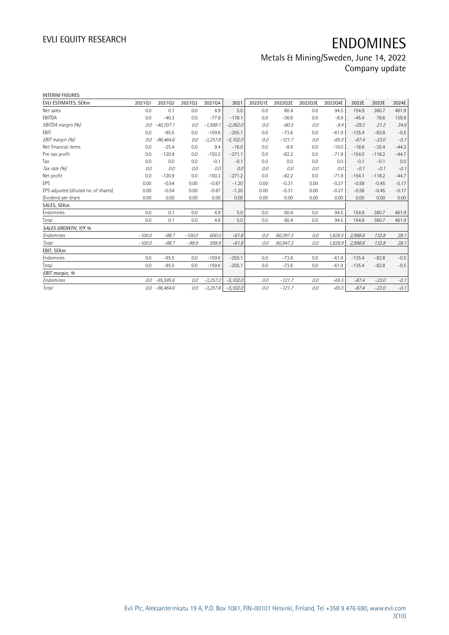## Metals & Mining/Sweden, June 14, 2022 Company update

| <b>INTERIM FIGURES</b>               |          |             |          |            |            |         |          |         |         |          |          |         |
|--------------------------------------|----------|-------------|----------|------------|------------|---------|----------|---------|---------|----------|----------|---------|
| EVLI ESTIMATES, SEKm                 | 202101   | 202102      | 202103   | 202104     | 2021       | 2022Q1E | 2022Q2E  | 2022Q3E | 2022Q4E | 2022E    | 2023E    | 2024E   |
| Net sales                            | 0.0      | 0.1         | 0.0      | 4.9        | 5.0        | 0.0     | 60.4     | 0.0     | 94.5    | 154.9    | 360.7    | 461.9   |
| EBITDA                               | 0.0      | $-40.3$     | 0.0      | $-77.8$    | $-118.1$   | 0.0     | $-36.6$  | 0.0     | $-8.9$  | $-45.4$  | 76.6     | 159.9   |
| EBITDA margin (%)                    | 0.0      | $-40,707.1$ | 0.0      | $-1,588.1$ | $-2,362.0$ | 0.0     | $-60.5$  | 0.0     | $-9.4$  | $-29.3$  | 21.2     | 34.6    |
| EBIT                                 | 0.0      | $-95.5$     | 0.0      | $-159.6$   | $-255.1$   | 0.0     | $-73.6$  | 0.0     | $-61.9$ | $-135.4$ | $-82.8$  | $-0.5$  |
| EBIT margin (%)                      | 0.0      | $-96,464.6$ | 0.0      | $-3,257.8$ | $-5,102.0$ | 0.0     | $-121.7$ | 0.0     | $-65.5$ | $-87.4$  | $-23.0$  | $-0.1$  |
| Net financial items                  | 0.0      | $-25.4$     | 0.0      | 9.4        | $-16.0$    | 0.0     | $-8.6$   | 0.0     | $-10.0$ | $-18.6$  | $-35.4$  | $-44.3$ |
| Pre-tax profit                       | 0.0      | $-120.9$    | 0.0      | $-150.2$   | $-271.1$   | 0.0     | $-82.2$  | 0.0     | $-71.9$ | $-154.0$ | $-118.2$ | $-44.7$ |
| Tax                                  | 0.0      | 0.0         | 0.0      | $-0.1$     | $-0.1$     | 0.0     | 0.0      | 0.0     | 0.0     | $-0.1$   | $-0.1$   | 0.0     |
| Tax rate (%)                         | 0.0      | 0.0         | 0.0      | 0.0        | 0.0        | 0.0     | 0.0      | 0.0     | 0.0     | $-0.1$   | $-0.1$   | $-0.1$  |
| Net profit                           | 0.0      | $-120.9$    | 0.0      | $-150.3$   | $-271.2$   | 0.0     | $-82.2$  | 0.0     | $-71.9$ | $-154.1$ | $-118.2$ | $-44.7$ |
| EPS                                  | 0.00     | $-0.54$     | 0.00     | $-0.67$    | $-1.20$    | 0.00    | $-0.31$  | 0.00    | $-0.27$ | $-0.58$  | $-0.45$  | $-0.17$ |
| EPS adjusted (diluted no. of shares) | 0.00     | $-0.54$     | 0.00     | $-0.67$    | $-1.20$    | 0.00    | $-0.31$  | 0.00    | $-0.27$ | $-0.58$  | $-0.45$  | $-0.17$ |
| Dividend per share                   | 0.00     | 0.00        | 0.00     | 0.00       | 0.00       | 0.00    | 0.00     | 0.00    | 0.00    | 0.00     | 0.00     | 0.00    |
| SALES, SEKm                          |          |             |          |            |            |         |          |         |         |          |          |         |
| Endomines                            | 0.0      | 0.1         | 0.0      | 4.9        | 5.0        | 0.0     | 60.4     | 0.0     | 94.5    | 154.9    | 360.7    | 461.9   |
| Total                                | 0.0      | 0.1         | 0.0      | 4.9        | 5.0        | 0.0     | 60.4     | 0.0     | 94.5    | 154.9    | 360.7    | 461.9   |
| SALES GROWTH, Y/Y %                  |          |             |          |            |            |         |          |         |         |          |          |         |
| Endomines                            | $-100.0$ | $-98.7$     | $-100.0$ | 600.0      | $-61.8$    | 0.0     | 60,397.3 | 0.0     | 1,828.5 | 2,998.6  | 132.8    | 28.1    |
| Total                                | $-100.0$ | $-98.7$     | $-99.9$  | 599.9      | $-61.8$    | 0.0     | 60,947.3 | 0.0     | 1,828.9 | 2,998.6  | 132.8    | 28.1    |
| EBIT, SEKm                           |          |             |          |            |            |         |          |         |         |          |          |         |
| Endomines                            | 0.0      | $-95.5$     | 0.0      | $-159.6$   | $-255.1$   | 0.0     | $-73.6$  | 0.0     | $-61.9$ | $-135.4$ | $-82.8$  | $-0.5$  |
| Total                                | 0.0      | $-95.5$     | 0.0      | $-159.6$   | $-255.1$   | 0.0     | $-73.6$  | 0.0     | $-61.9$ | $-135.4$ | $-82.8$  | $-0.5$  |
| EBIT margin, %                       |          |             |          |            |            |         |          |         |         |          |          |         |
| Endomines                            | 0.0      | $-95,595.6$ | 0.0      | $-3,257.2$ | $-5,102.0$ | 0.0     | $-121.7$ | 0.0     | $-65.5$ | $-87.4$  | $-23.0$  | $-0.1$  |
| Total                                | 0.0      | $-96,464.6$ | 0.0      | $-3,257.8$ | $-5,102.0$ | 0.0     | $-121.7$ | 0.0     | $-65.5$ | $-87.4$  | $-23.0$  | $-0.1$  |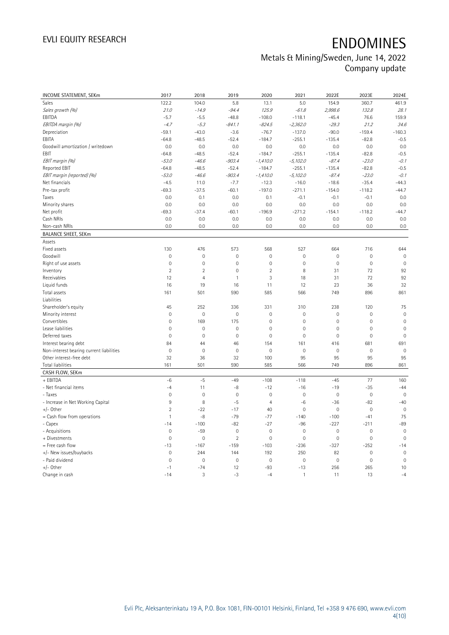## Metals & Mining/Sweden, June 14, 2022 Company update

| INCOME STATEMENT, SEKm                   | 2017                | 2018           | 2019                | 2020           | 2021         | 2022E               | 2023E        | 2024E               |
|------------------------------------------|---------------------|----------------|---------------------|----------------|--------------|---------------------|--------------|---------------------|
| Sales                                    | 122.2               | 104.0          | 5.8                 | 13.1           | 5.0          | 154.9               | 360.7        | 461.9               |
| Sales growth (%)                         | 21.0                | $-14.9$        | $-94.4$             | 125.9          | $-61.8$      | 2,998.6             | 132.8        | 28.1                |
| EBITDA                                   | $-5.7$              | $-5.5$         | $-48.8$             | $-108.0$       | $-118.1$     | $-45.4$             | 76.6         | 159.9               |
| EBITDA margin (%)                        | $-4.7$              | $-5.3$         | $-841.1$            | $-824.5$       | $-2,362.0$   | $-29.3$             | 21.2         | 34.6                |
| Depreciation                             | $-59.1$             | $-43.0$        | $-3.6$              | $-76.7$        | $-137.0$     | $-90.0$             | $-159.4$     | $-160.3$            |
| EBITA                                    | $-64.8$             | $-48.5$        | $-52.4$             | $-184.7$       | $-255.1$     | $-135.4$            | $-82.8$      | $-0.5$              |
| Goodwill amortization / writedown        | 0.0                 | 0.0            | 0.0                 | 0.0            | 0.0          | 0.0                 | 0.0          | 0.0                 |
| EBIT                                     | $-64.8$             | $-48.5$        | $-52.4$             | $-184.7$       | $-255.1$     | $-135.4$            | $-82.8$      | $-0.5$              |
| EBIT margin (%)                          | $-53.0$             | $-46.6$        | $-903.4$            | $-1,410.0$     | $-5,102.0$   | $-87.4$             | $-23.0$      | $-0.1$              |
| <b>Reported EBIT</b>                     | $-64.8$             | $-48.5$        | $-52.4$             | $-184.7$       | $-255.1$     | $-135.4$            | $-82.8$      | $-0.5$              |
| EBIT margin (reported) (%)               | $-53.0$             | $-46.6$        | $-903.4$            | $-1,410.0$     | $-5,102.0$   | $-87.4$             | $-23.0$      | $-0.1$              |
| Net financials                           | $-4.5$              | 11.0           | $-7.7$              | $-12.3$        | $-16.0$      | $-18.6$             | $-35.4$      | $-44.3$             |
| Pre-tax profit                           | $-69.3$             | $-37.5$        | $-60.1$             | $-197.0$       | $-271.1$     | $-154.0$            | $-118.2$     | $-44.7$             |
| Taxes                                    | 0.0                 | 0.1            | 0.0                 | 0.1            | $-0.1$       | $-0.1$              | $-0.1$       | 0.0                 |
| Minority shares                          | 0.0                 | 0.0            | 0.0                 | 0.0            | 0.0          | 0.0                 | 0.0          | 0.0                 |
| Net profit                               | $-69.3$             | $-37.4$        | $-60.1$             | $-196.9$       | $-271.2$     | $-154.1$            | $-118.2$     | $-44.7$             |
| Cash NRIs                                | 0.0                 | 0.0            | 0.0                 | 0.0            | 0.0          | 0.0                 | 0.0          | 0.0                 |
| Non-cash NRIs                            | 0.0                 | 0.0            | 0.0                 | 0.0            | 0.0          | 0.0                 | 0.0          | 0.0                 |
| <b>BALANCE SHEET, SEKm</b>               |                     |                |                     |                |              |                     |              |                     |
| Assets                                   |                     |                |                     |                |              |                     |              |                     |
| Fixed assets                             | 130                 | 476            | 573                 | 568            | 527          | 664                 | 716          | 644                 |
| Goodwill                                 | $\mathbf 0$         | $\mathbf 0$    | $\mathbf 0$         | $\mathbf 0$    | $\mathbf 0$  | $\mathsf{O}\xspace$ | $\mathbf 0$  | $\mathbf 0$         |
| Right of use assets                      | $\mathbb O$         | $\mathbf 0$    | $\mathbf 0$         | $\mathbf 0$    | $\mathbf 0$  | $\mathsf{O}\xspace$ | $\mathbf 0$  | $\mathbf 0$         |
| Inventory                                | $\overline{2}$      | $\sqrt{2}$     | $\mathbf 0$         | $\overline{2}$ | 8            | 31                  | 72           | 92                  |
| Receivables                              | 12                  | $\overline{4}$ | 1                   | 3              | 18           | 31                  | 72           | 92                  |
| Liquid funds                             | 16                  | 19             | 16                  | 11             | 12           | 23                  | 36           | 32                  |
| Total assets                             | 161                 | 501            | 590                 | 585            | 566          | 749                 | 896          | 861                 |
| Liabilities                              |                     |                |                     |                |              |                     |              |                     |
| Shareholder's equity                     | 45                  | 252            | 336                 | 331            | 310          | 238                 | 120          | 75                  |
| Minority interest                        | $\mathbb O$         | $\mathbf 0$    | $\mathbf 0$         | $\mathbf{0}$   | $\mathbf 0$  | $\mathsf{O}\xspace$ | $\mathbf 0$  | $\mathbf 0$         |
| Convertibles                             | $\mathsf{O}\xspace$ | 169            | 175                 | $\mathbf 0$    | $\mathbf 0$  | 0                   | $\mathbf 0$  | $\mathbb O$         |
| Lease liabilities                        | $\mathbb O$         | $\mathbf 0$    | $\mathbf 0$         | $\mathbf 0$    | $\mathbf 0$  | 0                   | $\mathbf 0$  | $\mathbf 0$         |
| Deferred taxes                           | $\mathbf 0$         | $\mathbf 0$    | $\mathbf 0$         | $\mathbf{0}$   | $\mathbf 0$  | $\mathbf 0$         | $\mathbf 0$  | $\mathbf 0$         |
| Interest bearing debt                    | 84                  | 44             | 46                  | 154            | 161          | 416                 | 681          | 691                 |
| Non-interest bearing current liabilities | $\mathbf 0$         | $\mathbf 0$    | $\mathbf 0$         | $\mathbf 0$    | $\mathbf 0$  | $\mathsf{O}\xspace$ | $\mathbf 0$  | $\mathbf 0$         |
| Other interest-free debt                 | 32                  | 36             | 32                  | 100            | 95           | 95                  | 95           | 95                  |
| Total liabilities                        | 161                 | 501            | 590                 | 585            | 566          | 749                 | 896          | 861                 |
| CASH FLOW, SEKm                          |                     |                |                     |                |              |                     |              |                     |
| + EBITDA                                 | $-6$                | $-5$           | $-49$               | $-108$         | $-118$       | $-45$               | 77           | 160                 |
| - Net financial items                    | $-4$                | 11             | $-8$                | $-12$          | $-16$        | $-19$               | $-35$        | $-44$               |
| - Taxes                                  | $\mathbb O$         | $\mathbf 0$    | $\mathbf 0$         | $\mathbf 0$    | $\mathbf 0$  | $\mathsf{O}\xspace$ | $\mathbf 0$  | $\mathbf 0$         |
| - Increase in Net Working Capital        | 9                   | 8              | $-5$                | $\overline{4}$ | $-6$         | $-36$               | $-82$        | $-40$               |
| $+/-$ Other                              | $\overline{2}$      | $-22$          | $-17$               | 40             | $\mathbf 0$  | $\mathsf{O}\xspace$ | $\mathbf 0$  | $\overline{0}$      |
| = Cash flow from operations              | $\mathbf{1}$        | -8             | $-79$               | $-77$          | $-140$       | $-100$              | $-41$        | 75                  |
| - Capex                                  | $-14$               | $-100$         | $-82$               | $-27$          | $-96$        | $-227$              | $-211$       | $-89$               |
| - Acquisitions                           | $\mathsf{O}\xspace$ | $-59$          | $\mathsf{O}\xspace$ | $\mathbb O$    | $\mathbf 0$  | $\mathbb O$         | $\mathbf 0$  | $\mathsf{O}\xspace$ |
| + Divestments                            | $\mathbf 0$         | $\mathbf 0$    | $\overline{2}$      | $\mathbf 0$    | $\mathbf 0$  | $\mathsf{O}\xspace$ | $\mathbf 0$  | $\mathbf 0$         |
| = Free cash flow                         | $-13$               | $-167$         | $-159$              | $-103$         | $-236$       | $-327$              | $-252$       | $-14$               |
| +/- New issues/buybacks                  | $\mathbf{0}$        | 244            | 144                 | 192            | 250          | 82                  | $\mathbf{0}$ | $\mathbb O$         |
| - Paid dividend                          | $\mathbf 0$         | $\mathbf 0$    | $\mathbf 0$         | $\mathbf 0$    | $\mathbf 0$  | $\mathbf 0$         | $\mathbf 0$  | $\mathbf 0$         |
| $+/-$ Other                              | $-1$                | $-74$          | 12                  | $-93$          | $-13$        | 256                 | 265          | 10                  |
| Change in cash                           | $-14$               | 3              | $-3$                | $-4$           | $\mathbf{1}$ | 11                  | 13           | $-4$                |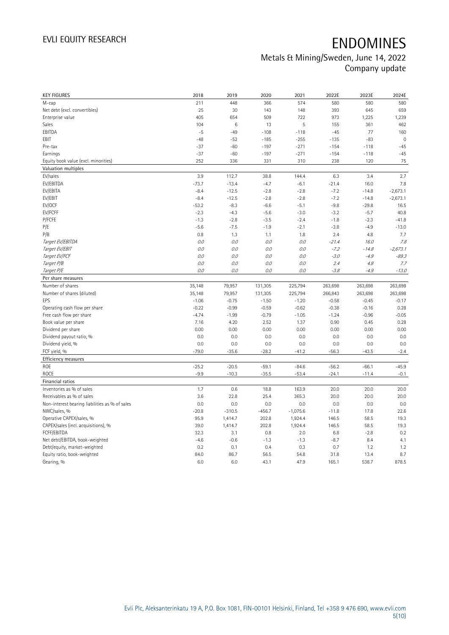## Metals & Mining/Sweden, June 14, 2022 Company update

| <b>KEY FIGURES</b>                             | 2018    | 2019     | 2020     | 2021       | 2022E   | 2023E   | 2024E       |
|------------------------------------------------|---------|----------|----------|------------|---------|---------|-------------|
| M-cap                                          | 211     | 448      | 366      | 574        | 580     | 580     | 580         |
| Net debt (excl. convertibles)                  | 25      | 30       | 143      | 148        | 393     | 645     | 659         |
| Enterprise value                               | 405     | 654      | 509      | 722        | 973     | 1,225   | 1,239       |
| Sales                                          | 104     | $\,6$    | 13       | 5          | 155     | 361     | 462         |
| EBITDA                                         | $-5$    | $-49$    | $-108$   | $-118$     | $-45$   | 77      | 160         |
| EBIT                                           | $-48$   | $-52$    | $-185$   | $-255$     | $-135$  | $-83$   | $\mathbf 0$ |
| Pre-tax                                        | $-37$   | $-60$    | $-197$   | $-271$     | $-154$  | $-118$  | $-45$       |
| Earnings                                       | $-37$   | $-60$    | $-197$   | $-271$     | $-154$  | $-118$  | $-45$       |
| Equity book value (excl. minorities)           | 252     | 336      | 331      | 310        | 238     | 120     | 75          |
| Valuation multiples                            |         |          |          |            |         |         |             |
| EV/sales                                       | 3.9     | 112.7    | 38.8     | 144.4      | 6.3     | 3.4     | 2.7         |
| EV/EBITDA                                      | $-73.7$ | $-13.4$  | $-4.7$   | $-6.1$     | $-21.4$ | 16.0    | 7.8         |
| EV/EBITA                                       | $-8.4$  | $-12.5$  | $-2.8$   | $-2.8$     | $-7.2$  | $-14.8$ | $-2,673.1$  |
| EV/EBIT                                        | $-8.4$  | $-12.5$  | $-2.8$   | $-2.8$     | $-7.2$  | $-14.8$ | $-2,673.1$  |
| EV/OCF                                         | $-53.2$ | $-8.3$   | $-6.6$   | $-5.1$     | $-9.8$  | $-29.8$ | 16.5        |
| EV/FCFF                                        | $-2.3$  | $-4.3$   | $-5.6$   | $-3.0$     | $-3.2$  | $-5.7$  | 40.8        |
| P/FCFE                                         | $-1.3$  | $-2.8$   | $-3.5$   | $-2.4$     | $-1.8$  | $-2.3$  | $-41.8$     |
| P/E                                            | $-5.6$  | $-7.5$   | $-1.9$   | $-2.1$     | $-3.8$  | $-4.9$  | $-13.0$     |
| P/B                                            | 0.8     | 1.3      | 1.1      | 1.8        | 2.4     | 4.8     | 7.7         |
| Target EV/EBITDA                               | 0.0     | $O.O$    | $0.0$    | $O.O$      | $-21.4$ | 16.0    | 7.8         |
| Target EV/EBIT                                 | 0.0     | 0.0      | $0.0$    | $O.O$      | $-7.2$  | $-14.8$ | $-2,673.1$  |
| Target EV/FCF                                  | 0.0     | 0.0      | 0.0      | 0.0        | $-3.0$  | $-4.9$  | $-89.3$     |
| Target P/B                                     | 0.0     | 0.0      | 0.0      | 0.0        | 2.4     | $4.8\,$ | 7.7         |
| Target P/E                                     | 0.0     | 0.0      | 0.0      | 0.0        | $-3.8$  | $-4.9$  | $-13.0$     |
| Per share measures                             |         |          |          |            |         |         |             |
|                                                |         |          |          |            |         |         |             |
|                                                |         |          |          |            |         |         |             |
| Number of shares                               | 35,148  | 79,957   | 131,305  | 225,794    | 263,698 | 263,698 | 263,698     |
| Number of shares (diluted)                     | 35,148  | 79,957   | 131,305  | 225,794    | 266,843 | 263,698 | 263,698     |
| EPS                                            | $-1.06$ | $-0.75$  | $-1.50$  | $-1.20$    | $-0.58$ | $-0.45$ | $-0.17$     |
| Operating cash flow per share                  | $-0.22$ | $-0.99$  | $-0.59$  | $-0.62$    | $-0.38$ | $-0.16$ | 0.28        |
| Free cash flow per share                       | $-4.74$ | $-1.99$  | $-0.79$  | $-1.05$    | $-1.24$ | $-0.96$ | $-0.05$     |
| Book value per share                           | 7.16    | 4.20     | 2.52     | 1.37       | 0.90    | 0.45    | 0.28        |
| Dividend per share                             | 0.00    | 0.00     | 0.00     | 0.00       | 0.00    | 0.00    | 0.00        |
| Dividend payout ratio, %                       | 0.0     | 0.0      | 0.0      | 0.0        | 0.0     | 0.0     | 0.0         |
| Dividend yield, %                              | 0.0     | 0.0      | 0.0      | 0.0        | 0.0     | 0.0     | 0.0         |
| FCF yield, %                                   | $-79.0$ | $-35.6$  | $-28.2$  | $-41.2$    | $-56.3$ | $-43.5$ | $-2.4$      |
| Efficiency measures                            |         |          |          |            |         |         |             |
| ROE                                            | $-25.2$ | $-20.5$  | $-59.1$  | $-84.6$    | $-56.2$ | $-66.1$ | $-45.9$     |
| <b>ROCE</b>                                    | $-9.9$  | $-10.3$  | $-35.5$  | $-53.4$    | $-24.1$ | $-11.4$ | $-0.1$      |
| Financial ratios                               |         |          |          |            |         |         |             |
| Inventories as % of sales                      | 1.7     | 0.6      | 18.8     | 163.9      | 20.0    | 20.0    | 20.0        |
| Receivables as % of sales                      | 3.6     | 22.8     | 25.4     | 365.3      | 20.0    | 20.0    | 20.0        |
| Non-interest bearing liabilities as % of sales | 0.0     | 0.0      | 0.0      | 0.0        | 0.0     | 0.0     | 0.0         |
| NWC/sales, %                                   | $-20.8$ | $-310.5$ | $-456.7$ | $-1,075.6$ | $-11.8$ | 17.8    | 22.6        |
| Operative CAPEX/sales, %                       | 95.9    | 1,414.7  | 202.8    | 1,924.4    | 146.5   | 58.5    | 19.3        |
| CAPEX/sales (incl. acquisitions), %            | 39.0    | 1,414.7  | 202.8    | 1,924.4    | 146.5   | 58.5    | 19.3        |
| FCFF/EBITDA                                    | 32.3    | 3.1      | 0.8      | 2.0        | 6.8     | $-2.8$  | 0.2         |
| Net debt/EBITDA, book-weighted                 | $-4.6$  | $-0.6$   | $-1.3$   | $-1.3$     | $-8.7$  | 8.4     | 4.1         |
| Debt/equity, market-weighted                   | 0.2     | 0.1      | 0.4      | 0.3        | 0.7     | 1.2     | 1.2         |
| Equity ratio, book-weighted                    | 84.0    | 86.7     | 56.5     | 54.8       | 31.8    | 13.4    | 8.7         |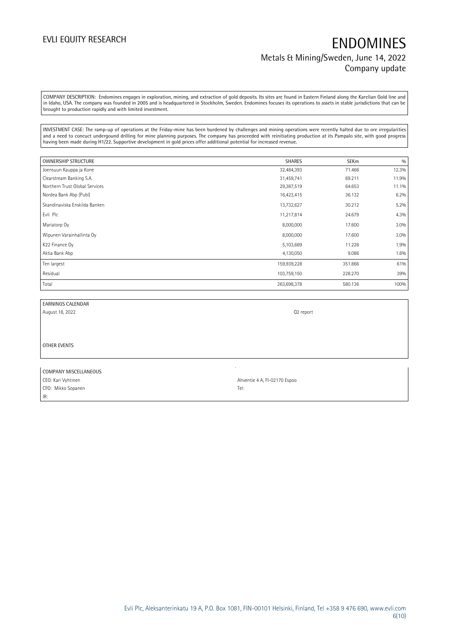## EVLI EQUITY RESEARCH **ENDOMINES** Metals & Mining/Sweden, June 14, 2022 Company update

COMPANY DESCRIPTION: Endomines engages in exploration, mining, and extraction of gold deposits. Its sites are found in Eastern Finland along the Karelian Gold line and in Idaho, USA. The company was founded in 2005 and is headquartered in Stockholm, Sweden. Endomines focuses its operations to assets in stable jurisdictions that can be brought to production rapidly and with limited investment.

INVESTMENT CASE: The ramp-up of operations at the Friday-mine has been burdened by challenges and mining operations were recently halted due to ore irregularities and a need to concuct undergound drilling for mine planning purposes. The company has proceeded with reinitiating production at its Pampalo site, with good progress having been made during H1/22. Supportive development in gold prices offer additional potential for increased revenue.

| <b>OWNERSHIP STRUCTURE</b>     | <b>SHARES</b> | <b>SEKm</b> | 0/0   |
|--------------------------------|---------------|-------------|-------|
| Joensuun Kauppa ja Kone        | 32,484,393    | 71.466      | 12.3% |
| Clearstream Banking S.A.       | 31,459,741    | 69.211      | 11.9% |
| Northern Trust Global Services | 29,387,519    | 64.653      | 11.1% |
| Nordea Bank Abp (Publ)         | 16,423,415    | 36.132      | 6.2%  |
| Skandinaviska Enskilda Banken  | 13,732,627    | 30.212      | 5.2%  |
| Evli Plc                       | 11,217,814    | 24.679      | 4.3%  |
| Mariatorp Oy                   | 8,000,000     | 17.600      | 3.0%  |
| Wipunen Varainhallinta Oy      | 8,000,000     | 17.600      | 3.0%  |
| K22 Finance Oy                 | 5,103,669     | 11.228      | 1.9%  |
| Aktia Bank Abp                 | 4,130,050     | 9.086       | 1.6%  |
| Ten largest                    | 159,939,228   | 351.866     | 61%   |
| Residual                       | 103,759,150   | 228.270     | 39%   |
| Total                          | 263,698,378   | 580.136     | 100%  |

| EARNINGS CALENDAR |  |
|-------------------|--|
|                   |  |

August 18, 2022 **Q2 report** 

OTHER EVENTS

| COMPANY MISCELLANEOUS |                              |
|-----------------------|------------------------------|
| CEO: Kari Vyhtinen    | Ahventie 4 A, FI-02170 Espoo |
| CFO: Mikko Sopanen    | Tel:                         |
| IR:                   |                              |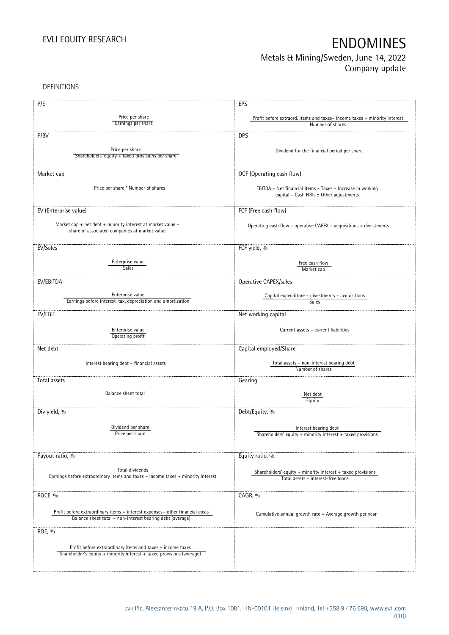### Metals & Mining/Sweden, June 14, 2022 Company update

DEFINITIONS

| P/E                                                                                                                                 | EPS                                                                                          |
|-------------------------------------------------------------------------------------------------------------------------------------|----------------------------------------------------------------------------------------------|
| Price per share                                                                                                                     |                                                                                              |
| Earnings per share                                                                                                                  | Profit before extraord. items and taxes-income taxes + minority interest<br>Number of shares |
|                                                                                                                                     |                                                                                              |
| P/BV                                                                                                                                | <b>DPS</b>                                                                                   |
|                                                                                                                                     |                                                                                              |
| Price per share                                                                                                                     | Dividend for the financial period per share                                                  |
| Shareholders' equity + taxed provisions per share                                                                                   |                                                                                              |
|                                                                                                                                     |                                                                                              |
| Market cap                                                                                                                          | OCF (Operating cash flow)                                                                    |
|                                                                                                                                     |                                                                                              |
| Price per share * Number of shares                                                                                                  | EBITDA - Net financial items - Taxes - Increase in working                                   |
|                                                                                                                                     | capital - Cash NRIs ± Other adjustments                                                      |
|                                                                                                                                     |                                                                                              |
| EV (Enterprise value)                                                                                                               | FCF (Free cash flow)                                                                         |
|                                                                                                                                     |                                                                                              |
| Market cap + net debt + minority interest at market value -<br>share of associated companies at market value                        | Operating cash flow - operative CAPEX - acquisitions + divestments                           |
|                                                                                                                                     |                                                                                              |
|                                                                                                                                     |                                                                                              |
| EV/Sales                                                                                                                            | FCF yield, %                                                                                 |
| Enterprise value                                                                                                                    |                                                                                              |
| Sales                                                                                                                               | Free cash flow<br>Market cap                                                                 |
|                                                                                                                                     |                                                                                              |
| EV/EBITDA                                                                                                                           | Operative CAPEX/sales                                                                        |
|                                                                                                                                     |                                                                                              |
| Enterprise value                                                                                                                    | Capital expenditure - divestments - acquisitions                                             |
| Earnings before interest, tax, depreciation and amortization                                                                        | Sales                                                                                        |
| EV/EBIT                                                                                                                             | Net working capital                                                                          |
|                                                                                                                                     |                                                                                              |
| Enterprise value                                                                                                                    | Current assets - current liabilities                                                         |
| Operating profit                                                                                                                    |                                                                                              |
|                                                                                                                                     |                                                                                              |
| Net debt                                                                                                                            | Capital employed/Share                                                                       |
|                                                                                                                                     |                                                                                              |
| Interest bearing debt - financial assets                                                                                            | Total assets - non-interest bearing debt<br>Number of shares                                 |
|                                                                                                                                     |                                                                                              |
| Total assets                                                                                                                        | Gearing                                                                                      |
| Balance sheet total                                                                                                                 |                                                                                              |
|                                                                                                                                     | Net debt<br>Equity                                                                           |
|                                                                                                                                     |                                                                                              |
| Div yield, %                                                                                                                        | Debt/Equity, %                                                                               |
|                                                                                                                                     |                                                                                              |
| Dividend per share                                                                                                                  | Interest bearing debt                                                                        |
| Price per share                                                                                                                     | Shareholders' equity + minority interest + taxed provisions                                  |
|                                                                                                                                     |                                                                                              |
|                                                                                                                                     |                                                                                              |
| Payout ratio, %                                                                                                                     | Equity ratio, %                                                                              |
| Total dividends                                                                                                                     |                                                                                              |
| Earnings before extraordinary items and taxes - income taxes + minority interest                                                    | Shareholders' equity + minority interest + taxed provisions                                  |
|                                                                                                                                     | Total assets - interest-free loans                                                           |
|                                                                                                                                     |                                                                                              |
| ROCE, %                                                                                                                             | CAGR, %                                                                                      |
|                                                                                                                                     |                                                                                              |
| Profit before extraordinary items + interest expenses+ other financial costs                                                        | Cumulative annual growth rate = Average growth per year                                      |
| Balance sheet total - non-interest bearing debt (average)                                                                           |                                                                                              |
|                                                                                                                                     |                                                                                              |
| ROE, %                                                                                                                              |                                                                                              |
|                                                                                                                                     |                                                                                              |
| Profit before extraordinary items and taxes - income taxes<br>Shareholder's equity + minority interest + taxed provisions (average) |                                                                                              |
|                                                                                                                                     |                                                                                              |
|                                                                                                                                     |                                                                                              |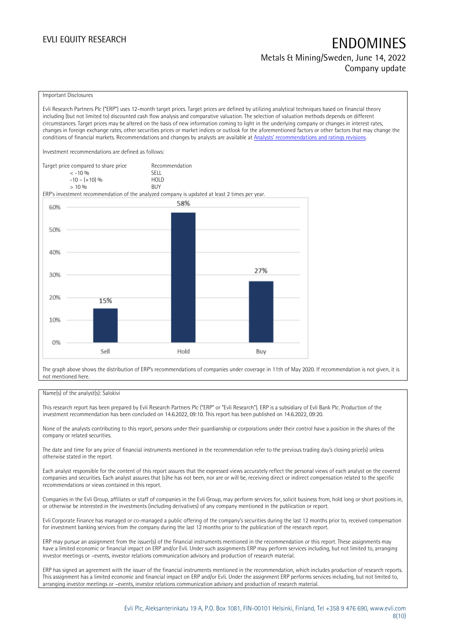# EVLI EQUITY RESEARCH **EXAMPLE ENDOMINES**

Metals & Mining/Sweden, June 14, 2022 Company update

### Important Disclosures

Evli Research Partners Plc ("ERP") uses 12-month target prices. Target prices are defined by utilizing analytical techniques based on financial theory including (but not limited to) discounted cash flow analysis and comparative valuation. The selection of valuation methods depends on different circumstances. Target prices may be altered on the basis of new information coming to light in the underlying company or changes in interest rates, changes in foreign exchange rates, other securities prices or market indices or outlook for the aforementioned factors or other factors that may change the conditions of financial markets. Recommendations and changes by analysts are available at [Analysts' recommendations and ratings revisions](https://research.evli.com/JasperAllModels.action?authParam=key;461&authParam=x;G3rNagWrtf7K&authType=3). Investment recommendations are defined as follows: Target price compared to share price Recommendation<br>CELL CALLO 06 < -10 % SELL  $-10 - (+10) \%$  HOL<br>  $> 10 \%$  BUY  $> 10\%$ ERP's investment recommendation of the analyzed company is updated at least 2 times per year. 58% 60% 50% 40% 27% 30% 20% 15% 10% 0% Sell Hold Buy

The graph above shows the distribution of ERP's recommendations of companies under coverage in 11th of May 2020. If recommendation is not given, it is not mentioned here.

### Name(s) of the analyst(s): Salokivi

This research report has been prepared by Evli Research Partners Plc ("ERP" or "Evli Research"). ERP is a subsidiary of Evli Bank Plc. Production of the investment recommendation has been concluded on 14.6.2022, 09:10. This report has been published on 14.6.2022, 09:20.

None of the analysts contributing to this report, persons under their guardianship or corporations under their control have a position in the shares of the company or related securities.

The date and time for any price of financial instruments mentioned in the recommendation refer to the previous trading day's closing price(s) unless otherwise stated in the report.

Each analyst responsible for the content of this report assures that the expressed views accurately reflect the personal views of each analyst on the covered companies and securities. Each analyst assures that (s)he has not been, nor are or will be, receiving direct or indirect compensation related to the specific recommendations or views contained in this report.

Companies in the Evli Group, affiliates or staff of companies in the Evli Group, may perform services for, solicit business from, hold long or short positions in, or otherwise be interested in the investments (including derivatives) of any company mentioned in the publication or report.

Evli Corporate Finance has managed or co-managed a public offering of the company's securities during the last 12 months prior to, received compensation for investment banking services from the company during the last 12 months prior to the publication of the research report.

ERP may pursue an assignment from the issuer(s) of the financial instruments mentioned in the recommendation or this report. These assignments may have a limited economic or financial impact on ERP and/or Evli. Under such assignments ERP may perform services including, but not limited to, arranging investor meetings or –events, investor relations communication advisory and production of research material.

ERP has signed an agreement with the issuer of the financial instruments mentioned in the recommendation, which includes production of research reports. This assignment has a limited economic and financial impact on ERP and/or Evli. Under the assignment ERP performs services including, but not limited to, arranging investor meetings or –events, investor relations communication advisory and production of research material.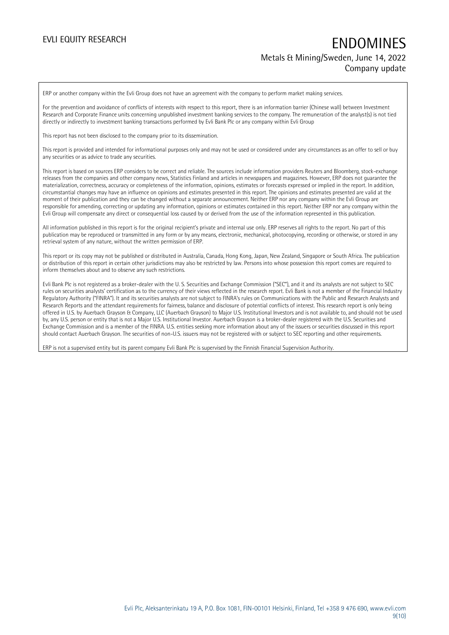## EVLI EQUITY RESEARCH **EXAMPLE ENDOMINES** Metals & Mining/Sweden, June 14, 2022 Company update

ERP or another company within the Evli Group does not have an agreement with the company to perform market making services.

For the prevention and avoidance of conflicts of interests with respect to this report, there is an information barrier (Chinese wall) between Investment Research and Corporate Finance units concerning unpublished investment banking services to the company. The remuneration of the analyst(s) is not tied directly or indirectly to investment banking transactions performed by Evli Bank Plc or any company within Evli Group

This report has not been disclosed to the company prior to its dissemination.

This report is provided and intended for informational purposes only and may not be used or considered under any circumstances as an offer to sell or buy any securities or as advice to trade any securities.

This report is based on sources ERP considers to be correct and reliable. The sources include information providers Reuters and Bloomberg, stock-exchange releases from the companies and other company news, Statistics Finland and articles in newspapers and magazines. However, ERP does not guarantee the materialization, correctness, accuracy or completeness of the information, opinions, estimates or forecasts expressed or implied in the report. In addition, circumstantial changes may have an influence on opinions and estimates presented in this report. The opinions and estimates presented are valid at the moment of their publication and they can be changed without a separate announcement. Neither ERP nor any company within the Evli Group are responsible for amending, correcting or updating any information, opinions or estimates contained in this report. Neither ERP nor any company within the Evli Group will compensate any direct or consequential loss caused by or derived from the use of the information represented in this publication.

All information published in this report is for the original recipient's private and internal use only. ERP reserves all rights to the report. No part of this publication may be reproduced or transmitted in any form or by any means, electronic, mechanical, photocopying, recording or otherwise, or stored in any retrieval system of any nature, without the written permission of ERP.

This report or its copy may not be published or distributed in Australia, Canada, Hong Kong, Japan, New Zealand, Singapore or South Africa. The publication or distribution of this report in certain other jurisdictions may also be restricted by law. Persons into whose possession this report comes are required to inform themselves about and to observe any such restrictions.

Evli Bank Plc is not registered as a broker-dealer with the U. S. Securities and Exchange Commission ("SEC"), and it and its analysts are not subject to SEC rules on securities analysts' certification as to the currency of their views reflected in the research report. Evli Bank is not a member of the Financial Industry Regulatory Authority ("FINRA"). It and its securities analysts are not subject to FINRA's rules on Communications with the Public and Research Analysts and Research Reports and the attendant requirements for fairness, balance and disclosure of potential conflicts of interest. This research report is only being offered in U.S. by Auerbach Grayson & Company, LLC (Auerbach Grayson) to Major U.S. Institutional Investors and is not available to, and should not be used by, any U.S. person or entity that is not a Major U.S. Institutional Investor. Auerbach Grayson is a broker-dealer registered with the U.S. Securities and Exchange Commission and is a member of the FINRA. U.S. entities seeking more information about any of the issuers or securities discussed in this report should contact Auerbach Grayson. The securities of non-U.S. issuers may not be registered with or subject to SEC reporting and other requirements.

ERP is not a supervised entity but its parent company Evli Bank Plc is supervised by the Finnish Financial Supervision Authority.